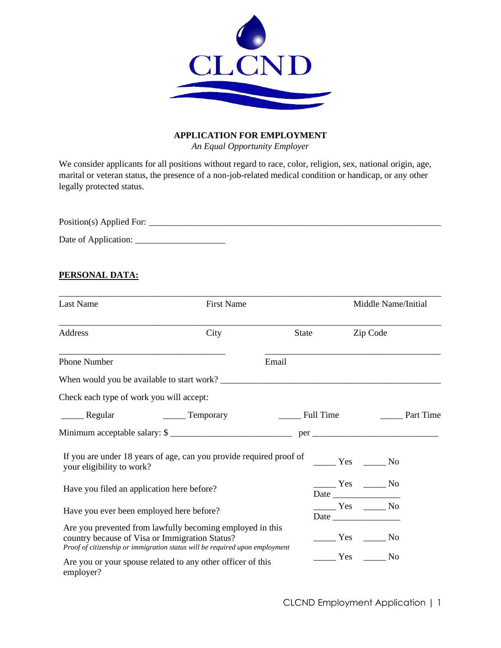

## **APPLICATION FOR EMPLOYMENT**

*An Equal Opportunity Employer*

We consider applicants for all positions without regard to race, color, religion, sex, national origin, age, marital or veteran status, the presence of a non-job-related medical condition or handicap, or any other legally protected status.

Position(s) Applied For: \_\_\_\_\_\_\_\_\_\_\_\_\_\_\_\_\_\_\_\_\_\_\_\_\_\_\_\_\_\_\_\_\_\_\_\_\_\_\_\_\_\_\_\_\_\_\_\_\_\_\_\_\_\_\_\_\_\_\_\_\_\_\_\_\_

Date of Application: \_\_\_\_\_\_\_\_\_\_\_\_\_\_\_\_\_\_\_\_

## **PERSONAL DATA:**

| Last Name                                                                                                                                                                                  | <b>First Name</b>   |       |                                                                                                                                                                                                                                                                                                                                                                                                                       |          | Middle Name/Initial |                  |
|--------------------------------------------------------------------------------------------------------------------------------------------------------------------------------------------|---------------------|-------|-----------------------------------------------------------------------------------------------------------------------------------------------------------------------------------------------------------------------------------------------------------------------------------------------------------------------------------------------------------------------------------------------------------------------|----------|---------------------|------------------|
| Address                                                                                                                                                                                    | City                | State |                                                                                                                                                                                                                                                                                                                                                                                                                       | Zip Code |                     |                  |
| <b>Phone Number</b>                                                                                                                                                                        |                     | Email |                                                                                                                                                                                                                                                                                                                                                                                                                       |          |                     |                  |
|                                                                                                                                                                                            |                     |       |                                                                                                                                                                                                                                                                                                                                                                                                                       |          |                     |                  |
| Check each type of work you will accept:                                                                                                                                                   |                     |       |                                                                                                                                                                                                                                                                                                                                                                                                                       |          |                     |                  |
|                                                                                                                                                                                            | _________ Temporary |       | Full Time                                                                                                                                                                                                                                                                                                                                                                                                             |          |                     | <b>Part Time</b> |
| Minimum acceptable salary: \$                                                                                                                                                              |                     |       |                                                                                                                                                                                                                                                                                                                                                                                                                       |          |                     |                  |
| If you are under 18 years of age, can you provide required proof of<br>your eligibility to work?                                                                                           |                     |       | $\frac{1}{\sqrt{1-\frac{1}{2}}}$ Yes $\frac{1}{\sqrt{1-\frac{1}{2}}}$ No                                                                                                                                                                                                                                                                                                                                              |          |                     |                  |
| Have you filed an application here before?                                                                                                                                                 |                     |       | $\frac{1}{\sqrt{1-\frac{1}{2}}}$ Yes $\frac{1}{\sqrt{1-\frac{1}{2}}}$ No<br>Date                                                                                                                                                                                                                                                                                                                                      |          |                     |                  |
| Have you ever been employed here before?                                                                                                                                                   |                     |       | $\frac{1}{1}$ Yes $\frac{1}{1}$ No                                                                                                                                                                                                                                                                                                                                                                                    |          |                     |                  |
| Are you prevented from lawfully becoming employed in this<br>country because of Visa or Immigration Status?<br>Proof of citizenship or immigration status will be required upon employment |                     |       | $\frac{1}{\sqrt{1-\frac{1}{1-\frac{1}{1-\frac{1}{1-\frac{1}{1-\frac{1}{1-\frac{1}{1-\frac{1}{1-\frac{1}{1-\frac{1}{1-\frac{1}{1-\frac{1}{1-\frac{1}{1-\frac{1}{1-\frac{1}{1-\frac{1}{1-\frac{1}{1-\frac{1}{1-\frac{1}{1-\frac{1}{1-\frac{1}{1-\frac{1}{1-\frac{1}{1-\frac{1}{1-\frac{1}{1-\frac{1}{1-\frac{1}{1-\frac{1}{1-\frac{1}{1-\frac{1}{1-\frac{1}{1-\frac{1}{1-\frac{1}{1-\frac{1}{1-\frac{1}{1-\frac{1}{1-\$ |          |                     |                  |
| Are you or your spouse related to any other officer of this<br>employer?                                                                                                                   |                     |       | $Yes$ No                                                                                                                                                                                                                                                                                                                                                                                                              |          |                     |                  |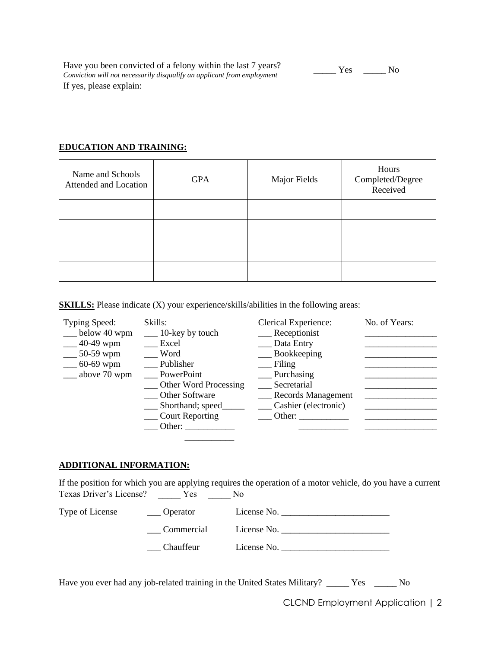Have you been convicted of a felony within the last 7 years? **Frave you been convicted of a felony within the fast** *t* **years!**<br>Conviction will not necessarily disqualify an applicant from employment  $\overline{\phantom{a}}$  \_\_\_\_\_\_ Yes \_\_\_\_\_\_ No If yes, please explain:

### **EDUCATION AND TRAINING:**

| Name and Schools<br>Attended and Location | <b>GPA</b> | Major Fields | Hours<br>Completed/Degree<br>Received |
|-------------------------------------------|------------|--------------|---------------------------------------|
|                                           |            |              |                                       |
|                                           |            |              |                                       |
|                                           |            |              |                                       |
|                                           |            |              |                                       |

**SKILLS:** Please indicate (X) your experience/skills/abilities in the following areas:

| Typing Speed:         | Skills:                  | <b>Clerical Experience:</b> | No. of Years: |
|-----------------------|--------------------------|-----------------------------|---------------|
| $\equiv$ below 40 wpm | $\_\_$ 10-key by touch   | _Receptionist               |               |
| $-40-49$ wpm          | Excel                    | _ Data Entry                |               |
| $-50-59$ wpm          | Word                     | Bookkeeping                 |               |
| $-60-69$ wpm          | Publisher                | Filing                      |               |
| $\equiv$ above 70 wpm | PowerPoint               | Purchasing                  |               |
|                       | __ Other Word Processing | Secretarial                 |               |
|                       | <b>Other Software</b>    | Records Management          |               |
|                       | Shorthand; speed         | Cashier (electronic)        |               |
|                       | Court Reporting          | Other:                      |               |
|                       | Other:                   |                             |               |
|                       |                          |                             |               |

#### **ADDITIONAL INFORMATION:**

If the position for which you are applying requires the operation of a motor vehicle, do you have a current Texas Driver's License? \_\_\_\_\_ Yes \_\_\_\_\_ No

| Type of License | $\_\_$ Operator | License No. |
|-----------------|-----------------|-------------|
|                 | Commercial      | License No. |
|                 | Chauffeur       | License No. |

Have you ever had any job-related training in the United States Military? \_\_\_\_\_ Yes \_\_\_\_\_ No

CLCND Employment Application | 2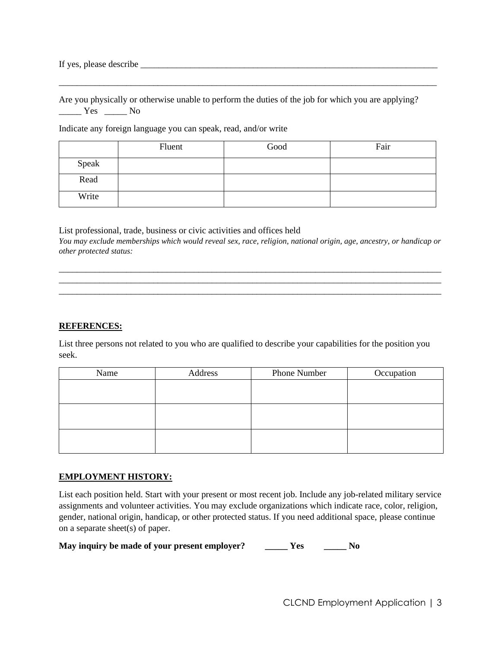If yes, please describe

Are you physically or otherwise unable to perform the duties of the job for which you are applying? \_\_\_\_\_ Yes \_\_\_\_\_ No

\_\_\_\_\_\_\_\_\_\_\_\_\_\_\_\_\_\_\_\_\_\_\_\_\_\_\_\_\_\_\_\_\_\_\_\_\_\_\_\_\_\_\_\_\_\_\_\_\_\_\_\_\_\_\_\_\_\_\_\_\_\_\_\_\_\_\_\_\_\_\_\_\_\_\_\_\_\_\_\_\_\_\_\_

Indicate any foreign language you can speak, read, and/or write

|       | Fluent | Good | Fair |
|-------|--------|------|------|
| Speak |        |      |      |
| Read  |        |      |      |
| Write |        |      |      |

List professional, trade, business or civic activities and offices held *You may exclude memberships which would reveal sex, race, religion, national origin, age, ancestry, or handicap or other protected status:*

\_\_\_\_\_\_\_\_\_\_\_\_\_\_\_\_\_\_\_\_\_\_\_\_\_\_\_\_\_\_\_\_\_\_\_\_\_\_\_\_\_\_\_\_\_\_\_\_\_\_\_\_\_\_\_\_\_\_\_\_\_\_\_\_\_\_\_\_\_\_\_\_\_\_\_\_\_\_\_\_\_\_\_\_\_ \_\_\_\_\_\_\_\_\_\_\_\_\_\_\_\_\_\_\_\_\_\_\_\_\_\_\_\_\_\_\_\_\_\_\_\_\_\_\_\_\_\_\_\_\_\_\_\_\_\_\_\_\_\_\_\_\_\_\_\_\_\_\_\_\_\_\_\_\_\_\_\_\_\_\_\_\_\_\_\_\_\_\_\_\_ \_\_\_\_\_\_\_\_\_\_\_\_\_\_\_\_\_\_\_\_\_\_\_\_\_\_\_\_\_\_\_\_\_\_\_\_\_\_\_\_\_\_\_\_\_\_\_\_\_\_\_\_\_\_\_\_\_\_\_\_\_\_\_\_\_\_\_\_\_\_\_\_\_\_\_\_\_\_\_\_\_\_\_\_\_

## **REFERENCES:**

List three persons not related to you who are qualified to describe your capabilities for the position you seek.

| Name | Address | Phone Number | Occupation |
|------|---------|--------------|------------|
|      |         |              |            |
|      |         |              |            |
|      |         |              |            |
|      |         |              |            |
|      |         |              |            |
|      |         |              |            |

# **EMPLOYMENT HISTORY:**

List each position held. Start with your present or most recent job. Include any job-related military service assignments and volunteer activities. You may exclude organizations which indicate race, color, religion, gender, national origin, handicap, or other protected status. If you need additional space, please continue on a separate sheet(s) of paper.

**May inquiry be made of your present employer? \_\_\_\_\_ Yes \_\_\_\_\_ No**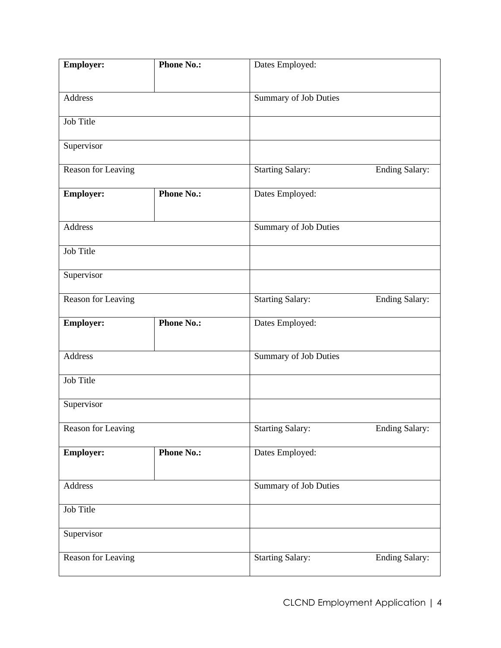| <b>Employer:</b>   | <b>Phone No.:</b> | Dates Employed:              |                       |
|--------------------|-------------------|------------------------------|-----------------------|
|                    |                   |                              |                       |
| Address            |                   | Summary of Job Duties        |                       |
| Job Title          |                   |                              |                       |
| Supervisor         |                   |                              |                       |
| Reason for Leaving |                   | <b>Starting Salary:</b>      | <b>Ending Salary:</b> |
| <b>Employer:</b>   | Phone No.:        | Dates Employed:              |                       |
| Address            |                   | <b>Summary of Job Duties</b> |                       |
| Job Title          |                   |                              |                       |
| Supervisor         |                   |                              |                       |
| Reason for Leaving |                   | <b>Starting Salary:</b>      | <b>Ending Salary:</b> |
| <b>Employer:</b>   | <b>Phone No.:</b> | Dates Employed:              |                       |
| Address            |                   | Summary of Job Duties        |                       |
| Job Title          |                   |                              |                       |
| Supervisor         |                   |                              |                       |
| Reason for Leaving |                   | <b>Starting Salary:</b>      | <b>Ending Salary:</b> |
| <b>Employer:</b>   | <b>Phone No.:</b> | Dates Employed:              |                       |
| Address            |                   | Summary of Job Duties        |                       |
| Job Title          |                   |                              |                       |
| Supervisor         |                   |                              |                       |
| Reason for Leaving |                   | <b>Starting Salary:</b>      | <b>Ending Salary:</b> |